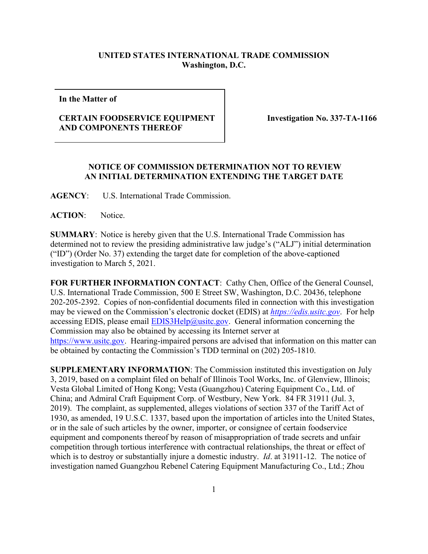## **UNITED STATES INTERNATIONAL TRADE COMMISSION Washington, D.C.**

**In the Matter of**

## **CERTAIN FOODSERVICE EQUIPMENT AND COMPONENTS THEREOF**

 **Investigation No. 337-TA-1166**

## **NOTICE OF COMMISSION DETERMINATION NOT TO REVIEW AN INITIAL DETERMINATION EXTENDING THE TARGET DATE**

**AGENCY**: U.S. International Trade Commission.

**ACTION**: Notice.

**SUMMARY**: Notice is hereby given that the U.S. International Trade Commission has determined not to review the presiding administrative law judge's ("ALJ") initial determination ("ID") (Order No. 37) extending the target date for completion of the above-captioned investigation to March 5, 2021.

**FOR FURTHER INFORMATION CONTACT**: Cathy Chen, Office of the General Counsel, U.S. International Trade Commission, 500 E Street SW, Washington, D.C. 20436, telephone 202-205-2392. Copies of non-confidential documents filed in connection with this investigation may be viewed on the Commission's electronic docket (EDIS) at *[https://edis.usitc.gov](https://edis.usitc.gov/)*. For help accessing EDIS, please email  $EDIS3Help@ustc.gov$ . General information concerning the Commission may also be obtained by accessing its Internet server at [https://www.usitc.gov.](https://www.usitc.gov/) Hearing-impaired persons are advised that information on this matter can be obtained by contacting the Commission's TDD terminal on (202) 205-1810.

**SUPPLEMENTARY INFORMATION**: The Commission instituted this investigation on July 3, 2019, based on a complaint filed on behalf of Illinois Tool Works, Inc. of Glenview, Illinois; Vesta Global Limited of Hong Kong; Vesta (Guangzhou) Catering Equipment Co., Ltd. of China; and Admiral Craft Equipment Corp. of Westbury, New York. 84 FR 31911 (Jul. 3, 2019). The complaint, as supplemented, alleges violations of section 337 of the Tariff Act of 1930, as amended, 19 U.S.C. 1337, based upon the importation of articles into the United States, or in the sale of such articles by the owner, importer, or consignee of certain foodservice equipment and components thereof by reason of misappropriation of trade secrets and unfair competition through tortious interference with contractual relationships, the threat or effect of which is to destroy or substantially injure a domestic industry. *Id*. at 31911-12. The notice of investigation named Guangzhou Rebenel Catering Equipment Manufacturing Co., Ltd.; Zhou